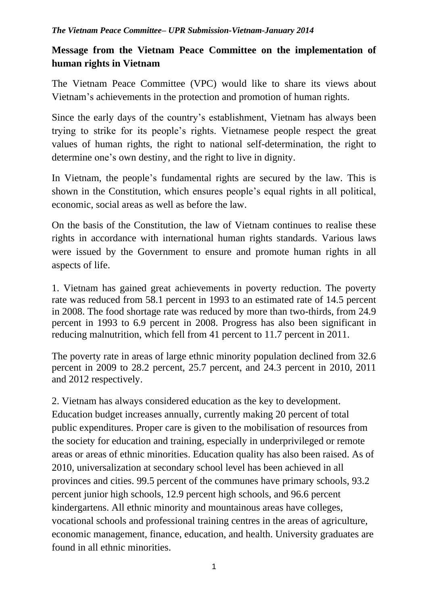## **Message from the Vietnam Peace Committee on the implementation of human rights in Vietnam**

The Vietnam Peace Committee (VPC) would like to share its views about Vietnam's achievements in the protection and promotion of human rights.

Since the early days of the country's establishment, Vietnam has always been trying to strike for its people's rights. Vietnamese people respect the great values of human rights, the right to national self-determination, the right to determine one's own destiny, and the right to live in dignity.

In Vietnam, the people's fundamental rights are secured by the law. This is shown in the Constitution, which ensures people's equal rights in all political, economic, social areas as well as before the law.

On the basis of the Constitution, the law of Vietnam continues to realise these rights in accordance with international human rights standards. Various laws were issued by the Government to ensure and promote human rights in all aspects of life.

1. Vietnam has gained great achievements in poverty reduction. The poverty rate was reduced from 58.1 percent in 1993 to an estimated rate of 14.5 percent in 2008. The food shortage rate was reduced by more than two-thirds, from 24.9 percent in 1993 to 6.9 percent in 2008. Progress has also been significant in reducing malnutrition, which fell from 41 percent to 11.7 percent in 2011.

The poverty rate in areas of large ethnic minority population declined from 32.6 percent in 2009 to 28.2 percent, 25.7 percent, and 24.3 percent in 2010, 2011 and 2012 respectively.

2. Vietnam has always considered education as the key to development. Education budget increases annually, currently making 20 percent of total public expenditures. Proper care is given to the mobilisation of resources from the society for education and training, especially in underprivileged or remote areas or areas of ethnic minorities. Education quality has also been raised. As of 2010, universalization at secondary school level has been achieved in all provinces and cities. 99.5 percent of the communes have primary schools, 93.2 percent junior high schools, 12.9 percent high schools, and 96.6 percent kindergartens. All ethnic minority and mountainous areas have colleges, vocational schools and professional training centres in the areas of agriculture, economic management, finance, education, and health. University graduates are found in all ethnic minorities.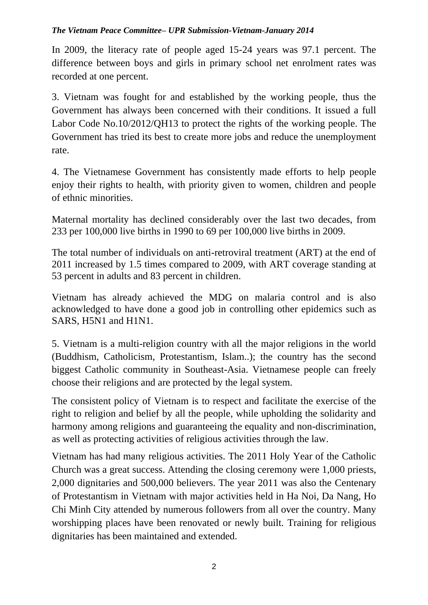## *The Vietnam Peace Committee– UPR Submission-Vietnam-January 2014*

In 2009, the literacy rate of people aged 15-24 years was 97.1 percent. The difference between boys and girls in primary school net enrolment rates was recorded at one percent.

3. Vietnam was fought for and established by the working people, thus the Government has always been concerned with their conditions. It issued a full Labor Code No.10/2012/QH13 to protect the rights of the working people. The Government has tried its best to create more jobs and reduce the unemployment rate.

4. The Vietnamese Government has consistently made efforts to help people enjoy their rights to health, with priority given to women, children and people of ethnic minorities.

Maternal mortality has declined considerably over the last two decades, from 233 per 100,000 live births in 1990 to 69 per 100,000 live births in 2009.

The total number of individuals on anti-retroviral treatment (ART) at the end of 2011 increased by 1.5 times compared to 2009, with ART coverage standing at 53 percent in adults and 83 percent in children.

Vietnam has already achieved the MDG on malaria control and is also acknowledged to have done a good job in controlling other epidemics such as SARS, H5N1 and H1N1.

5. Vietnam is a multi-religion country with all the major religions in the world (Buddhism, Catholicism, Protestantism, Islam..); the country has the second biggest Catholic community in Southeast-Asia. Vietnamese people can freely choose their religions and are protected by the legal system.

The consistent policy of Vietnam is to respect and facilitate the exercise of the right to religion and belief by all the people, while upholding the solidarity and harmony among religions and guaranteeing the equality and non-discrimination, as well as protecting activities of religious activities through the law.

Vietnam has had many religious activities. The 2011 Holy Year of the Catholic Church was a great success. Attending the closing ceremony were 1,000 priests, 2,000 dignitaries and 500,000 believers. The year 2011 was also the Centenary of Protestantism in Vietnam with major activities held in Ha Noi, Da Nang, Ho Chi Minh City attended by numerous followers from all over the country. Many worshipping places have been renovated or newly built. Training for religious dignitaries has been maintained and extended.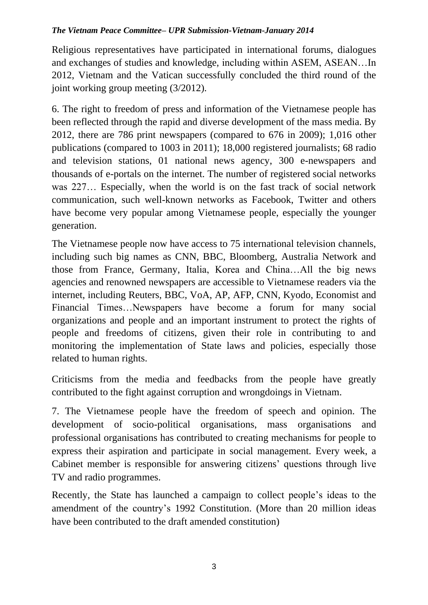## *The Vietnam Peace Committee– UPR Submission-Vietnam-January 2014*

Religious representatives have participated in international forums, dialogues and exchanges of studies and knowledge, including within ASEM, ASEAN…In 2012, Vietnam and the Vatican successfully concluded the third round of the joint working group meeting (3/2012).

6. The right to freedom of press and information of the Vietnamese people has been reflected through the rapid and diverse development of the mass media. By 2012, there are 786 print newspapers (compared to 676 in 2009); 1,016 other publications (compared to 1003 in 2011); 18,000 registered journalists; 68 radio and television stations, 01 national news agency, 300 e-newspapers and thousands of e-portals on the internet. The number of registered social networks was 227… Especially, when the world is on the fast track of social network communication, such well-known networks as Facebook, Twitter and others have become very popular among Vietnamese people, especially the younger generation.

The Vietnamese people now have access to 75 international television channels, including such big names as CNN, BBC, Bloomberg, Australia Network and those from France, Germany, Italia, Korea and China…All the big news agencies and renowned newspapers are accessible to Vietnamese readers via the internet, including Reuters, BBC, VoA, AP, AFP, CNN, Kyodo, Economist and Financial Times…Newspapers have become a forum for many social organizations and people and an important instrument to protect the rights of people and freedoms of citizens, given their role in contributing to and monitoring the implementation of State laws and policies, especially those related to human rights.

Criticisms from the media and feedbacks from the people have greatly contributed to the fight against corruption and wrongdoings in Vietnam.

7. The Vietnamese people have the freedom of speech and opinion. The development of socio-political organisations, mass organisations and professional organisations has contributed to creating mechanisms for people to express their aspiration and participate in social management. Every week, a Cabinet member is responsible for answering citizens' questions through live TV and radio programmes.

Recently, the State has launched a campaign to collect people's ideas to the amendment of the country's 1992 Constitution. (More than 20 million ideas have been contributed to the draft amended constitution)